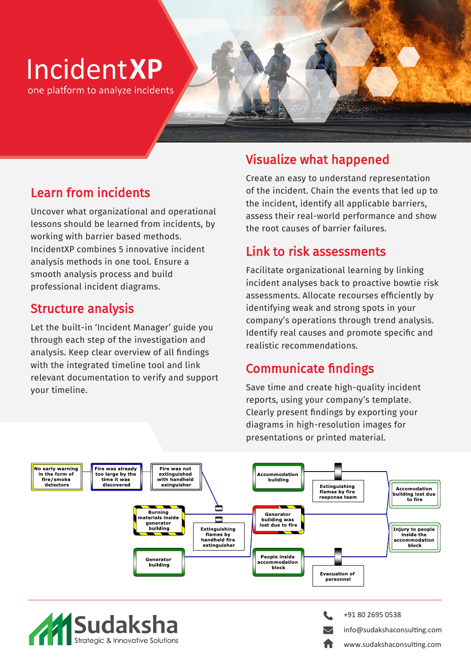# **Incident XP**

one platform to analyze incidents

#### Learn from incidents

Uncover what organizational and operational lessons should be learned from incidents, by working with barrier based methods. IncidentXP combines 5 innovative incident analysis methods in one tool. Ensure a smooth analysis process and build professional incident diagrams.

#### Structure analysis

Let the built-in 'Incident Manager' guide you through each step of the investigation and analysis. Keep clear overview of all findings with the integrated timeline tool and link relevant documentation to verify and support your timeline.

#### Visualize what happened

Create an easy to understand representation of the incident. Chain the events that led up to the incident, identify all applicable barriers, assess their real-world performance and show the root causes of barrier failures.

#### Link to risk assessments

Facilitate organizational learning by linking incident analyses back to proactive bowtie risk assessments. Allocate recourses efficiently by identifying weak and strong spots in your company's operations through trend analysis. Identify real causes and promote specific and realistic recommendations.

#### Communicate findings

Save time and create high-quality incident reports, using your company's template. Clearly present findings by exporting your diagrams in high-resolution images for presentations or printed material.





+91 80 2695 0538 info@sudakshaconsulting.com www.sudakshaconsulting.com